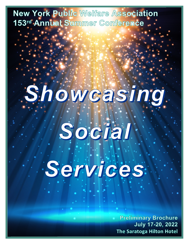New York Public Welfare Association 153rd Annual Summer Conference

## Showcasing.

# Social Services.

**Preliminary Brochure July 17-20, 2022** The Saratoga Hilton Hotel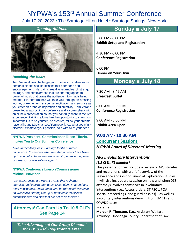## NYPWA's 153rd Annual Summer Conference

July 17-20, 2022 • The Saratoga Hilton Hotel • Saratoga Springs, New York

#### *Opening Address*



#### *Reaching the Heart*

Tom Varano loves challenging and motivating audiences with personal stories and life-lessons that offer hope and encouragement. He paints real-life examples of strength, courage, and perseverance that are choreographed to powerful music that draws the audience into what is being created. His performance will take you through an amazing journey of excitement, suspense, motivation, and surprise as you enter an arena of inspiration and creativity. Tom Varano presented at a prior virtual conference and is coming back with an all new presentation so that you can fully share in the live experience. Painting allows him the opportunity to show how important it is to be yourself, be creative, follow your dreams, have faith, and take chances. You never know what you might discover. Whatever your passion, do it with all of your heart.

#### **NYPWA President, Commissioner Eileen Tiberio, Invites You to Our Summer Conference**

*"Join your colleagues in Saratoga for the summer conference. Come hear what new things others have been up to and get to know the new faces. Experience the power of in-person conversations again."* 

#### **NYPWA Conference Liaison/Commissioner Michael McMahon**

*"Our conferences are vibrant events that recharge, energize, and inspire attendees! Make plans to attend and meet new people, share ideas, and be refreshed. We have an irresistible starting line-up of presentations by local commissioners and staff that are not to be missed."*

#### **Attorneys' Can Earn Up To 10.5 CLEs See Page 14**

*Take Advantage of Our Group Discount for LDSS – 6th Registrant Is Free!* 

**Sunday ■ July 17**

3:00 PM - 6:00 PM **Exhibit Setup and Registration**

4:30 PM - 6:00 PM **Conference Registration**

6:00 PM **Dinner on Your Own**

## **Monday ■ July 18**

7:30 AM - 8:45 AM **Breakfast Buffet**

8:00 AM - 5:00 PM **Conference Registration**

9:00 AM - 5:00 PM **Exhibit Area Open**

**9:00 AM- 10:30 AM Concurrent Sessions** *NYPWA Board of Directors' Meeting*

#### *APS Involuntary Interventions*

#### *(1.5 CLEs, 75 minutes)*

This presentation will include a review of APS statutes and regulations, with a brief overview of the Prevalence and Cost of Financial Exploitation Studies. It will also include a discussion on how and when DSS attorneys involve themselves in involuntary interventions (i.e., Access orders, STIPSOs, POA special proceedings, and guardianships)—as well as involuntary interventions deriving from EMDTs and OPWDD cases.

*Presenter:*

**Morgan R. Thurston, Esq.**, Assistant Welfare Attorney, Onondaga County Department of Law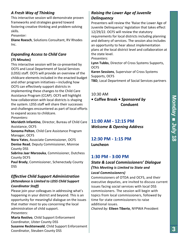#### **M o n d a y ■ J uly 1 8**

#### *A Fresh Way of Thinking*

This interactive session will demonstrate proven frameworks and strategies geared toward fostering creative thinking and problem-solving skills.

*Presenter:*

**Diane Roesch**, Solutions Consultant, RV Rhodes Inc.

#### *Expanding Access to Child Care*

#### **(75 Minutes)**

This interactive session will be co-presented by OCFS and Local Department of Social Services (LDSS) staff. OCFS will provide an overview of the childcare elements included in the enacted budget and other program initiatives—including how OCFS can effectively support districts in implementing these changes to the Child Care Assistance Program (CCAP). OCFS will highlight how collaboration with local districts is shaping the system. LDSS staff will share their successes and challenges encountered as part of local efforts to expand access to childcare.

*Presenters:*

**Merideth Infantino**, Director, Bureau of Child Care Assistance, OCFS

**Sonoma Pelton**, Child Care Assistance Program Manager, OCFS

**Nora Yates**, Associate Commissioner, OCFS **Denise Read**, Deputy Commissioner, Monroe County DSS

**Sabrina Jaar Marzouka**, Commissioner, Dutchess County DCFS

**Paul Brady**, Commissioner, Schenectady County DSS

#### *Effective Child Support Administration (Attendance is Limited to LDSS Child Support Coordinator Staff)*

Please join your colleagues in addressing what's happening in your district and beyond. This is an opportunity for meaningful dialogue on the issues that matter most to you concerning the local administration of child support. *Presenters:*

**Maria Restivo**, Child Support Enforcement Coordinator, Ulster County DSS **Susanne Recktenwald**, Child Support Enforcement Coordinator, Steuben County DSS

#### *Raising the Lower Age of Juvenile Delinquency*

Presenters will review the 'Raise the Lower Age of Juvenile Delinquency' legislation that takes effect 12/29/22. OCFS will review the statutory requirements for local districts including planning and delivery of services. The session also includes an opportunity to hear about implementation plans at the local district level and collaboration at the state level.

*Presenters:*

**Lynn Tubbs**, Director of Cross Systems Supports, OCFS

**Karen Sessions**, Supervisor of Cross Systems Supports, OCFS

**TBD**, Local Department of Social Services partners

#### 10:30 AM

**• Coffee Break •** *Sponsored by*  **Conduent**

## **11:00 AM - 12:15 PM** *Welcome & Opening Address*

#### **12:30 PM - 1:15 PM Luncheon**

#### **1:30 PM - 3:00 PM**

## *State & Local Commissioners' Dialogue (This Meeting is Limited to State and*

#### *Local Commissioners)* Commissioners of OTDA and OCFS, and their

executive deputies, are invited to discuss current issues facing social services with local DSS commissioners. The session will begin with topics from local commissioners, followed by time for state commissioners to raise additional issues.

*Chaired by:* **Eileen Tiberio**, NYPWA President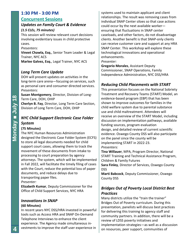## **1:30 PM - 3:00 PM**

#### **Concurrent Sessions**

#### *Updates on Family Court & Evidence*

#### *(1.5 CLEs, 75 minutes)*

This session will review relevant court decisions involving evidentiary issues in child protective cases.

#### *Presenters:*

**Vineet Chawla, Esq.**, Senior Team Leader & Legal Trainer, NYC ACS **Marlee Galvez, Esq.**, Legal Trainer, NYC ACS

#### *Long Term Care Update*

DOH will present updates on activities in the long-term care arena—focusing on services, such as personal care and consumer directed services. *Presenters:*

**Susan Montgomery**, Director, Division of Long-Term Care, DOH, OHIP

**Cherlyn B. Fay**, Director, Long Term Care Section, Division of Long Term Care, DOH, OHIP

#### *NYC Child Support Electronic Case Folder System*

#### **(75 Minutes)**

The NYC Human Resources Administration designed the Electronic Case Folder System (ECFS) to store all legal documents needed for child support court cases, allowing them to track the movement of these documents from intake to processing to court preparation by agency attorneys. The system, which will be implemented in Fall 2022, will facilitate the timely filing of cases with the Court, reduce the potential loss of paper documents, and reduce delays due to transporting paper files.

#### *Presenter:*

**Elizabeth Kumar**, Deputy Commissioner for the Office of Child Support Services, NYC HRA

#### *Innovations In SNAP*  **(60 Minutes)**

In recent years NYC DSS/HRA invested in powerful tools such as Access HRA and SNAP On-Demand Telephone Interviews to enhance the client experience. The Agency made simultaneous investments to improve the staff user experience in

systems used to maintain applicant and client relationships. The result was removing cases from individual SNAP Center siloes so that case actions could occur by the next available worker ensuring that fluctuations in SNAP center caseloads, and other factors, do not disadvantage clients. Another benefit is that SNAP-only clients can receive customer care and support at any HRA SNAP Center. This workshop will explore these technological innovations and operational enhancements.

*Presenter:*

**Gregorio Morales**, Assistant Deputy Commissioner, SNAP Operations, Family Independence Administration, NYC DSS/HRA

#### *Reducing Child Placements with START*

This presentation focuses on the National Sobriety Treatment and Recovery Teams (START) Model, an evidence-based program (EBP) that has been shown to improve outcomes for families in the child welfare system due to parental substance use and child maltreatment. Attendees will receive an overview of the START Model, including discussion on implementation pathways, available funding sources, program evaluation design, and detailed review of current scientific evidence. Oswego County DSS will also participate on the panel since the county will be implementing START in 2022-23. *Presenters:*

**Tina Willauer**, MPA, Program Director, National START Training and Technical Assistance Program, Children & Family Futures

**Sara Finley**, Director of Services, Oswego County DSS

**Marti Babcock**, Deputy Commissioner, Oswego County DSS

#### *Bridges Out of Poverty Local District Best Practices*

Many districts utilize the "train the trainer" Bridges Out of Poverty curriculum. During this presentation, panelists will discuss best practices for delivering this training to agency staff and community partners. In addition, there will be a review of LDSS poverty initiatives and implementation strategies—as well as a discussion on resources, peer support, communities of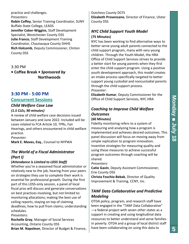practice and challenges.

*Presenters:*

**Robin Coffey**, Senior Training Coordinator, SUNY Buffalo State College, LEADS **Jennifer Coker-Wiggins**, Staff Development Specialist, Westchester County DSS **Julie Franco**, Staff Development Training Coordinator, Chautauqua County DHHS **Rich Holcomb**, Deputy Commissioner, Clinton County DSS

3:30 PM

**• Coffee Break •** *Sponsored by*  **Northwoods** 

## **3:30 PM - 5:00 PM Concurrent Sessions**

#### *Child Welfare Case Law*

#### *(1.5 CLEs, 90 minutes)*

A review of child welfare case decisions issued between January and June 2022. Included will be cases related to FCA Article 10, TPRs, Fair Hearings, and others encountered in child welfare practice.

*Presenter:*

**Mark E. Maves, Esq.**, Counsel to NYPWA

#### *The World of a Fiscal Administrator (Part I)*

#### *(Attendance is Limited to LDSS Staff)*

Whether you're a seasoned fiscal administrator or relatively new to the job, hearing from your peers on strategies they use to complete their work is essential for professional growth. During the first part of this LDSS-only session, a panel of local fiscal pros will discuss and generate conversations on best practices involving, but not limited to: monitoring allocations; making the best use of ceiling reports; staying on top of claiming deadlines; how to pull from claims; understanding schedules.

*Presenters:*

**Rochelle Gray**, Manager of Social Services Accounting, Ontario County DSS **Brian M. Napoleon**, Director of Budget & Finance, Dutchess County DCFS **Elizabeth Provenzano**, Director of Finance, Ulster County DSS

#### *NYC Child Support Youth Model* **(75 Minutes)**

NYC has been working to find alternative ways to better serve young adult parents connected to the child support program, many with very young children. Through the Youth Model, the HRA Office of Child Support Services strives to provide a better start for young parents when they first enter the child support program. Using a positive youth development approach, this model creates an intake process specifically targeted to better support young custodial and noncustodial parents through the child support process. *Presenter:*

**Elizabeth Kumar**, Deputy Commissioner for the Office of Child Support Services, NYC HRA

#### *Coaching to Improve Child Welfare Outcomes*

#### **(60 Minutes)**

Fidelity monitoring refers to a system of measuring and analyzing how a program is implemented and achieves desired outcomes. This panel discussion will focus on moving away from simple replication to program innovation. Inventive strategies for measuring quality and using these measures to achieve successful program outcomes through coaching will be shared.

*Presenters:*

**Catie Gavin**, Deputy Assistant Commissioner, Erie County DSS

**Christa Foschio-Bebak**, Director of Quality Improvement & Training, CCNY, Inc.

#### *TANF Data Collaborative and Predictive Modeling*

OTDA policy, program, and research staff have been engaged in the "TANF Data Collaborative" —a federal project with seven other states as a support in creating and using longitudinal data resources to better understand and serve families in poverty. OTDA and a group of local district staff have been collaborating on using this data to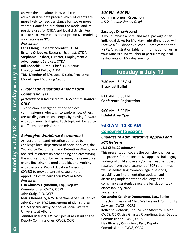answer the question: "How well can administrative data predict which TA clients are more likely to need assistance for two or more years?" Come find out about the model and its possible uses for OTDA and local districts. Feel free to share your ideas about predictive modeling applications in NYS.

#### *Presenters:*

**Fang Cheng**, Research Scientist, OTDA **Britany Orlebeke**, Research Scientist, OTDA **Stephanie Boshart**, Director, Employment & Advancement Services, OTDA **Bill Koncelik**, Bureau Chief, TA & SNAP Employment Policy, OTDA **TBD**, Member of NYS Local District Predictive Model Expert Working Group

#### *Pivotal Conversations Among Local Commissioners (Attendance is Restricted to LDSS Commissioners ONLY)*

This session is designed by and for local commissioners who wish to explore how others are tackling current challenges by moving forward with bold new strategies. Each topic will be led by a different commissioner.

#### *Reimagine Workforce Recruitment*

As recruitment and retention continue to challenge local department of social services, the Workforce Recruitment and Retention Workgroup focused its efforts on broadening and diversifying the applicant pool by re-imagining the caseworker exam, finalizing the media toolkit, and working with the Social Work Education Consortium (SWEC) to provide current caseworkers opportunities to earn their BSW or MSW. *Presenters:*

**Lisa Ghartey Ogundimu, Esq.**, Deputy Commissioner, CWCS, OCFS **John Craig**, PIO, OCFS **Maria Kenneally**, NYS Department of Civil Service **John Quinan**, NYS Department of Civil Service **Dr. Mary McCarthy**, School of Social Welfare, University at Albany

**Jennifer Maurici, LMSW**, Special Assistant to the Deputy Commissioner, CWCS, OCFS

5:30 PM - 6:30 PM **Commissioners' Reception** *(LDSS Commissioners Only)*

#### **Saratoga Dine-Around**

If you purchase a hotel and meal package or an individual ticket for Monday night dinner, you will receive a \$35 dinner voucher. Please come to the NYPWA registration table for information on using your Dine-Around voucher at participating local restaurants on Monday evening.

## **Tuesday ■ July 19**

7:30 AM - 8:45 AM **Breakfast Buffet**

8:00 AM - 5:00 PM **Conference Registration**

9:00 AM - 5:00 PM **Exhibit Area Open**

## **9:00 AM- 10:30 AM**

#### **Concurrent Sessions**

#### *Changes to Administrative Appeals and SCR Reform*

#### *(1.5 CLEs, 90 minutes)*

This presentation covers the complex changes to the process for administrative appeals challenging findings of child abuse and/or maltreatment that resulted from the enactment of SCR reform—as well as addressing common legal questions, providing an implementation update, and discussing implementation challenges and compliance strategies since the legislation took effect January 2022.

*Presenters:*

**Cassandra Kelleher-Donnaruma, Esq.**, Senior Director, Division of Child Welfare and Community Services (CWCS), OCFS

**Kelleena Richards, Esq.**, Senior Attorney, ICAPP, CWCS, OCFS; Lisa Ghartey Ogundimu, Esq., Deputy Commissioner, CWCS, OCFS

**Lisa Ghartey Ogundimu, Esq.**, Deputy Commissioner, CWCS, OCFS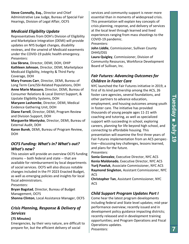**Steve Connolly, Esq.**, Director and Chief Administrative Law Judge, Bureau of Special Fair Hearings, Division of Legal Affair, OCFS

#### *Medicaid Eligibility Update*

Representatives from DOH's Division of Eligibility and Marketplace Integration (DEMI) will provide updates on NYS budget changes, disability reviews, and the unwind of Medicaid easements under the COVID-19 public health emergency. *Presenters:*

**Lisa Sbrana**, Director, DEMI, DOH, OHIP **Kathleen Johnson**, Director, DEMI, Marketplace Medicaid Eligibility, Integrity & Third Party Coverage, DOH

**Mary Frances Carr**, Director, DEMI, Bureau of Long Term Care/SSI-Related Populations, DOH **Anne Marie Massaro**, Director, DEMI, Bureau of Consumer Relations & Local District Support, & Upstate Eligibility Systems, DOH

**Maryann Lashombe**, Director, DEMI, Medical Evidence Gathering Unit, DOH

**Diane Farrell**, Director, DEMI, Program Review and Division Support, DOH

**Marguerite Montysko**, Director, DEMI, Bureau of External Audit, DOH

**Karen Burek**, DEMI, Bureau of Program Review, DOH

#### *OCFS Funding: What's in? What's out? What's new?*

This session will provide an overview OCFS funding streams -- both federal and state -- that are available for reimbursement by local departments of social services. OCFS will also discuss notable changes included in the FY 2023 Enacted Budget, as well as emerging policies and insights for local fiscal administrators.

*Presenters:*

**Bryan Bagstad**, Director, Bureau of Budget Management, OCFS **Shonna Clinton**, Local Assistance Manager, OCFS

#### *Crisis Planning, Response & Delivery of Services*

#### **(75 Minutes)**

Emergencies, by their very nature, are difficult to prepare for, but the efficient delivery of social

services and community support is never more essential than in moments of widespread crisis. This presentation will explain key concepts of crisis planning, response, and delivery of services at the local level through learned and lived experiences ranging from mass shootings to the COVID-19 pandemic.

*Presenters:*

**John Liddle**, Commissioner, Sullivan County DHHS/DSS

**Laura Quigley**, Commissioner, Division of Community Resources, Workforce Development Board of Sullivan, Inc.

#### *Fair Futures: Advancing Outcomes for Children in Foster Care*

NYC launched the Fair Futures initiative in 2019, a first of its kind partnership among the ACS, 26 foster care agencies, several foundations, and other partners to advance education, employment, and housing outcomes among youth in foster care. The initiative has provided thousands of young people ages 11-21 with coaching and tutoring, as well as specialized support with succeeding in school, exploring careers, planning for life beyond high school, and connecting to affordable housing. This presentation will examine the first three years of Fair Futures implementation from an ACS perspective—discussing key challenges, lessons learned, and plans for the future.

*Presenters:*

**Sonia Gonzalez**, Executive Director, NYC ACS **Kenia Maldonado**, Executive Director, NYC ACS **Yurij Pawluk**, Associate Commissioner, NYC ACS **Raymond Singleton**, Assistant Commissioner, NYC ACS

**Christopher Tan**, Assistant Commissioner, NYC ACS

#### *Child Support Program Updates Part I*

Come hear the latest program developments including federal and State level updates; mid-year performance overview; recently issued and in development policy guidance impacting districts; recently released and in development training opportunities; and Program Operations and Fiscal Operations updates.

*Presenters:*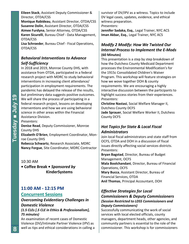#### **Eileen Stack**, Assistant Deputy Commissioner & Director, OTDA/CSS

**Monique Rabideau**, Assistant Director, OTDA/CSS **Susanne Dolin**, Assistant Director, OTDA/CSS **Aimee Furdyna**, Senior Attorney, OTDA/CSS **Karen Sicurelli**, Bureau Chief - Data Management, OTDA/CSS

**Lisa Schroeder**, Bureau Chief - Fiscal Operations, OTDA/CSS

#### *Behavioral Interventions to Advance Self-Sufficiency*

In 2018 and 2019, Monroe County DHS, with assistance from OTDA, participated in a federal research project with MDRC to study behavioral interventions in increasing client attendance/ participation in employment requirements. The pandemic has delayed the release of the results, but preliminary data suggests positive outcomes. We will share the process of participating in a federal research project, lessons on developing interventions and how we are using behavioral science in other areas within the Financial Assistance Division.

#### *Presenters:*

**Denise Read**, Deputy Commissioner, Monroe County DHS

**Elizabeth O'Brien**, Employment Coordinator, Monroe County DHS

**Rebecca Schwartz**, Research Associate, MDRC **Nancy Forgue**, Site Coordinator, MDRC Contractor

10:30 AM **• Coffee Break •** *Sponsored by*  **KinderSystems**

#### **11:00 AM - 12:15 PM Concurrent Sessions**

#### *Overcoming Evidentiary Challenges in Domestic Violence (1.5 CLEs [.5 CLE in Ethics & Professionalism],*

*75 minutes)*

An examination of recent cases of Domestic Violence (DV)/Intimate Partner Violence (IPV) as well as tips and ethical considerations in calling a survivor of DV/IPV as a witness. Topics to include DV legal cases, updates, evidence, and ethical witness preparation. *Presenters:*

**Jennifer Sadaka, Esq.**, Legal Trainer, NYC ACS **Iman Akbar, Esq.**, Legal Trainer, NYC ACS

#### *Modify 2 Modify: How We Twisted Our Internal Process to Implement the E-Mods* **(60 Minutes)**

This presentation is a step by step breakdown of how the Dutchess County Medicaid Department processes the Environmental Modification's for the 1915c Consolidated Children's Waiver Program. This workshop will feature strategies on how we wove together DOH & county requirements. We are encouraging a highly interactive discussion between the participants to highlight success stories from their experiences. *Presenters:*

**Christine Nastasi**, Social Welfare Manager II, Dutchess County DCFS

**Jade Sprauer**, Social Welfare Worker II, Dutchess County DCFS

#### *Hot Topics for State & Local Fiscal Administrators*

Join local fiscal administrators and state staff from OCFS, OTDA and DOH in a discussion of fiscal issues directly affecting social services districts. *Presenters:* **Bryan Bagstad**, Director, Bureau of Budget Management, OCFS **Mala Boolchandani**, Director, Bureau of Financial Operations, OCFS **Mary Bucca**, Assistant Director, Bureau of

Financial Services, OTDA **Anil Thomas**, Principal Accountant, DOH

#### *Effective Strategies for Local Commissioners & Deputy Commissioners (Session Restricted to LDSS Commissioners and Deputy Commissioners)*

Successfully communicating the work of social services with local elected officials, county managers, department heads, other agencies, and community partners is essential to the role of the commissioner. This workshop is for commissioners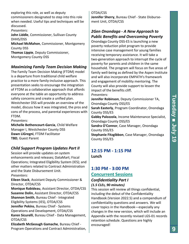exploring this role, as well as deputy commissioners designated to step into this role when needed. Useful tips and techniques will be discussed.

*Presenters:*

**John Liddle**, Commissioner, Sullivan County DHHS/DSS

**Michael McMahon**, Commissioner, Montgomery County DSS

**Thomas Lippie**, Deputy Commissioner, Montgomery County DSS

#### *Maximizing Family Team Decision Making*

The Family Team Decision Making (FTDM) model is a departure from traditional child welfare practice to a more family-inclusive approach. This presentation seeks to encourage the integration of FTDM as a collaborative approach that affords everyone at the table an opportunity to address safety concerns and create a unified plan. Westchester DSS will provide an overview of the model, discuss how it was integrated, the pros and cons of the process, and parental experiences with FTDM.

*Presenters:*

**Michelle Bethencourt-Garcia**, Child Welfare Manager I, Westchester County DSS **Dawn LiGregni**, FTDM Facilitator **TBD**, Guest Parent

#### *Child Support Program Updates Part II*

Session will provide updates on system enhancements and releases; DataMart; Fiscal Operations; Integrated Eligibility System (IES); and other matters related to Contract Administration and the State Disbursement Unit. *Presenters:*

**Eileen Stack**, Assistant Deputy Commissioner & Director, OTDA/CSS

**Monique Rabideau**, Assistant Director, OTDA/CSS **Susanne Dolin**, Assistant Director, OTDA/CSS **Shannon Smith**, Bureau Chief - Integrated Eligibility Systems (IES), OTDA/CSS **Jennifer Pekins**, Bureau Chief - Systems Operations and Development, OTDA/CSS **Karen Sicurelli**, Bureau Chief - Data Management,

OTDA/CSS **Elizabeth McGeough Gamache**, Bureau Chief - Program Operations and Contract Administration,

#### OTDA/CSS

**Jennifer Sherry**, Bureau Chief - State Disbursement Unit, OTDA/CSS

#### *2Gen Onondaga - A New Approach to Public Benefits and Overcoming Poverty*

Onondaga County DSS-ES is launching a new poverty reduction pilot program to provide intensive case management for young families receiving temporary assistance. It will take a two-generation approach to interrupt the cycle of poverty for parents and children in the same household. The program will focus on five areas of family well-being as defined by the Aspen Institute and will also incorporate EMPATH's framework and engagement of mobility mentoring. The County will also provide support to lessen the impact of the benefits cliff.

*Presenters:*

**Jennifer Robinson**, Deputy Commissioner TA, Onondaga County DSS/ES

**Sarah Easterly**, Program Coordinator, Onondaga County DSS/ES

**Gabby Palozzola**, Income Maintenance Specialist, Onondaga County DSS/ES

**Sandra O'Connor**, Case Manager, Onondaga County DSS/ES

**Stephanie Fitzgibbon**, Case Manager, Onondaga County DSS/ES

#### **12:15 PM - 1:15 PM Lunch**

#### **1:30 PM - 3:00 PM Concurrent Sessions** *Confidentiality Part I*

## *(1.5 CLEs, 90 minutes)*

This session will review all things confidential, including the debut of the Confidentiality Handbook (Version 2022.5) and a compendium of confidentiality questions and answers. We will cover topics in the Handbook—especially any changes in the new version, which will include an Appendix with the recently revised LGS-01 records retention schedule. Questions are highly encouraged!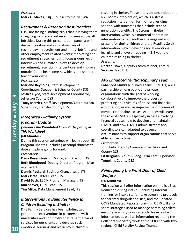#### *Presenter:*

**Mark E. Maves, Esq.,** Counsel to the NYPWA

#### *Recruitment & Retention Best Practices*

LDSS are facing a staffing crisis that is leaving them struggling to hire and retain employees across all job titles. During this presentation, panelist will discuss: creative and innovative uses of technology in recruitment and hiring; job fairs and other employment related events; marketing and recruitment strategies; using focus groups, exit interviews and climate surveys to develop recruitment/retention interventions and improve morale. Come hear some new ideas and share a few of your own!

#### *Presenters:*

**Marlene Reynolds**, Staff Development Coordinator, Steuben & Schuyler County DSS **Jessica Hyde**, Staff Development Coordinator, Jefferson County DSS **Tracy Merrick**, Staff Development/Youth Bureau Supervisor, Franklin County DSS

#### *Integrated Eligibility System Program Update (Vendors Are Prohibited From Participating in This Workshop)* **(60 Minutes)**

During this session attendees will learn about IES Program updates, including accomplishments to date and plans going forward. *Presenters:*

**Dana Rosenstreich**, IES Program Director, ITS **Beth Bloodgood**, Deputy Director, Program Management, ITS

**Dennis Packard**, Business Change Lead, ITS **Mark Israel**, IPMO Lead, ITS **David Bach**, EECM Program Manager, ITS **Kim Shaver**, OCM Lead, ITS **Tim Milos**, Data Management Lead, ITS

#### *Interventions To Build Resiliency In Children Residing In Shelter*

DHS Family Services has been piloting two generation interventions in partnership with universities and non-profits that raise the bar of services for our clients and develop social emotional learning and resiliency in children

residing in shelter. These interventions include the NYC Moms intervention, which is a stress reduction intervention for mothers residing in shelter, with outcomes that include second generation benefits; The Strong In Shelter intervention, which is a maternal depression intervention to help mothers be engaged and present for their children; and the Reading So Lit intervention, which develops social emotional learning and a love of reading in 5-8 year old children residing in shelter. *Presenter:*

**Doreen Howe**, Deputy Commissioner, Family Services, NYC DHS

#### *APS Enhanced Multidisciplinary Team*

Enhanced Multidisciplinary Teams (E-MDTs) are a partnership among public and private organizations with the goal of working collaboratively to improve the process of protecting adult victims of abuse and financial exploitation, as well as improve the outcomes of complex elder abuse cases. Attendees will learn the role of EMDTs—especially in cases involving financial abuse; how to develop and maintain E-MDT; and how E-MDT administrators and coordinators can adapted to adverse circumstances to support organizations that serve elder abuse victims.

*Presenters:*

**John Fella**, Deputy Commissioner, Rockland County DSS

**Ed Bergman**, Adult & Long-Term Care Supervisor, Tompkins County DSS

#### *Reimagining the Front Door of Child Welfare*

#### **(60 Minutes)**

This session will offer information on Implicit Bias Reduction during intake—including internal SCR training for intake staff; intake screening protocols for parental drug/alcohol use; and the updated OCFS Mandated Reporter training. OCFS will also share strategies used to manage harassing callers, encourage anonymous callers to leave contact information, as well as information regarding the Collaborative Safety work at the SCR and with two regional Child Fatality Review Teams.

**10**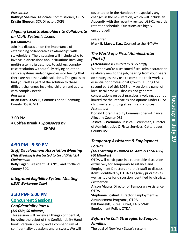#### *Presenters:*

**Kathryn Shelton**, Associate Commissioner, OCFS **Kristin Gleeson**, SCR Director, OCFS

#### *Aligning Local Stakeholders to Collaborate on Multi-Systemic Issues*

#### **(60 Minutes)**

Join in a discussion on the importance of establishing collaborative relationships with stakeholders. The discussion will include who to involve in discussions about situations involving multi-systemic issues; how to address complex case resolution without fully relying on other service systems and/or agencies—or feeling that there are no other viable solutions. The goal is to find yourself as part of the solution to these difficult challenges involving children and adults with complex needs.

#### *Presenter:*

**Brian Hart, LCSW-R**, Commissioner, Chemung County DSS & MH

3:00 PM

**• Coffee Break •** *Sponsored by*  **KPMG** 

#### **4:30 PM - 5:30 PM**

#### *Staff Development Association Meeting (This Meeting is Restricted to Local Districts) Chairperson:*

**Kelly Eagan**, President, SDANYS, and Cortland County SDC

#### *Integrated Eligibility System Meeting (LDSS Workgroup Only)*

#### **3:30 PM- 5:00 PM**

#### **Concurrent Sessions**

#### *Confidentiality Part II (1.5 CLEs, 90 minutes)*

This session will review all things confidential, including the debut of the Confidentiality Handbook (Version 2022.5) and a compendium of confidentiality questions and answers. We will

cover topics in the Handbook—especially any changes in the new version, which will include an Appendix with the recently revised LGS-01 records retention schedule. Questions are highly encouraged!

#### *Presenter:*

**Mark E. Maves, Esq.,** Counsel to the NYPWA

#### *The World of a Fiscal Administrator (Part II)*

#### *(Attendance is Limited to LDSS Staff)*

Whether you're a seasoned fiscal administrator or relatively new to the job, hearing from your peers on strategies they use to complete their work is essential for professional growth. During the second part of this LDSS-only session, a panel of local fiscal pros will discuss and generate conversations on best practices involving, but not limited to: the intricacies and options under FFFS; child welfare funding streams and choices. *Presenters:*

**Donald Horan**, Deputy Commissioner—Finance, Allegany County DSS

**Jessica L. Weinman**, Jessica L. Weinman, Director of Administrative & Fiscal Services, Cattaraugus County DSS

#### *Temporary Assistance & Employment Forum*

#### *(This Meeting is Limited to State & Local DSS)* **(60 Minutes)**

OTDA will participate in a roundtable discussion exclusively for Temporary Assistance and Employment Directors and their staff to discuss items identified by OTDA as agency priorities as well as topics for discussion identified by districts. *Presenters:*

**Alison Maura**, Director of Temporary Assistance, OTDA

**Stephanie Boshart**, Director, Employment & Advancement Programs, OTDA **Bill Koncelik**, Bureau Chief, TA & SNAP

Employment Policy, OTDA

#### *Before the Call: Strategies to Support Families*

The goal of New York State's system

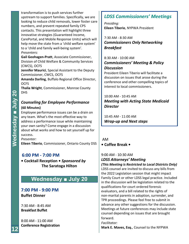transformation is to push services further upstream to support families. Specifically, we are looking to reduce child removals, lower foster care numbers, and prevent repeated family CPS contacts. This presentation will highlight three innovative strategies (Guaranteed Income, CarePortal, and Mobile Response Units) which will help move the state from a 'child welfare system' to a 'child and family well-being system'. *Presenters:*

**Gail Geohagen-Pratt**, Associate Commissioner, Division of Child Welfare & Community Services (CWCS), OCFS

**Jennifer Maurici**, Special Assistant to the Deputy Commissioner, CWCS, OCFS

**Amanda Darling**, Buffalo Regional Office Director, **OCFS** 

**Thalia Wright**, Commissioner, Monroe County DHS

#### *Counseling for Employee Performance* **(60 Minutes)**

Employee performance issues can be a drain on any team. What's the most effective way to address a performance issue while maintaining your own sanity? Come engage in a discussion about what works and how to set yourself up for success.

*Presenter:*

**Eileen Tiberio**, Commissioner, Ontario County DSS

#### **6:00 PM - 7:00 PM**

**• Cocktail Reception •** *Sponsored by*  **The Saratoga Hilton**

## **Wednesday ■ July 20**

**7:00 PM - 9:00 PM Buffet Dinner** 

7:30 AM - 8:45 AM **Breakfast Buffet**

8:00 AM - 11:00 AM **Conference Registration**

## *LDSS Commissioners' Meetings*

*Presiding:* **Eileen Tiberio**, NYPWA President

7:30 AM - 8:30 AM *Commissioners Only Networking Breakfast* 

#### 8:30 AM - 10:00 AM *Commissioners' Meeting & Policy Discussion*

President Eileen Tiberio will facilitate a discussion on issues that arose during the conference and other compelling topics of interest to local commissioners.

10:00 AM - 10:45 AM *Meeting with Acting State Medicaid Director*

10:45 AM - 11:00 AM *Wrap-up and Next steps*

AM **• Coffee Break •** 

#### 9:00 AM - 10:30 AM

## *LDSS Attorneys' Meeting*

*(This Meeting is Restricted to Local Districts Only)*

LDSS counsel are invited to discuss any bills from the 2022 Legislation session that might impact Family Court or other LDSS legal practice. Included in the discussion will be legislation related to the qualifications for court ordered forensic evaluators, and a bill related to the rights of non-marital parents in adoption, surrender, and TPR proceedings. Please feel free to submit in advance any other suggestions for the discussion. Meetings at future conferences may include state counsel depending on issues that are brought forward.

*Facilitator:*

**Mark E. Maves, Esq.**, Counsel to the NYPWA

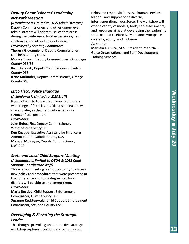#### *Deputy Commissioners' Leadership Network Meeting*

*(Attendance is Limited to LDSS Administrators)* Deputy Commissioners and other upper-level administrators will address issues that arose during the conference, local experiences, new

challenges, and other topics of interest.

*Facilitated by Steering Committee:*

**Theresa Giovanniello**, Deputy Commissioner, Dutchess County DCFS

**Monica Brown**, Deputy Commissioner, Onondaga County DSS/ES

**Rich Holcomb**, Deputy Commissioners, Clinton County DSS

**Irene Kurlander**, Deputy Commissioner, Orange County DSS

#### *LDSS Fiscal Policy Dialogue*

#### *(Attendance is Limited to LDSS Staff)*

Fiscal administrators will convene to discuss a wide range of fiscal issues. Discussion leaders will share strategies that help put districts in a stronger fiscal position. *Facilitators:* **John Befus**, First Deputy Commissioner, Westchester County DSS **Ken Knappe**, Executive Assistant for Finance & Administration, Suffolk County DSS **Michael Moiseyev**, Deputy Commissioner, NYC-ACS

#### *State and Local Child Support Meeting (Attendance is limited to OTDA & LDSS Child Support Coordinator Staff)*

This wrap-up meeting is an opportunity to discuss new policy and procedures that were presented at the conference and to strategize how local districts will be able to implement them. *Facilitators:*

**Maria Restivo**, Child Support Enforcement Coordinator, Ulster County DSS **Susanne Recktenwald**, Child Support Enforcement Coordinator, Steuben County DSS

#### *Developing & Elevating the Strategic Leader*

This thought-provoking and interactive strategic workshop explores questions surrounding your

rights and responsibilities as a human services leader—and support for a diverse, inter-generational workforce. The workshop will offer a variety of models, tools, self-assessments, and resources aimed at developing the leadership traits needed to effectively enhance workplace diversity, equity, and inclusion. *Presenter:*

**Marvela L. Guice, M.S.**, President, Marvela L. Guice Organizational and Staff Development Training Services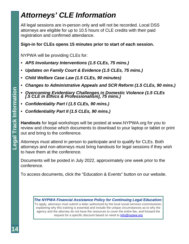## *Attorneys' CLE Information*

All legal sessions are in-person only and will not be recorded. Local DSS attorneys are eligible for up to 10.5 hours of CLE credits with their paid registration and confirmed attendance.

#### **Sign-in for CLEs opens 15 minutes prior to start of each session.**

NYPWA will be providing CLEs for:

- *APS Involuntary Interventions (1.5 CLEs, 75 mins.)*
- *Updates on Family Court & Evidence (1.5 CLEs, 75 mins.)*
- *Child Welfare Case Law (1.5 CLEs, 90 minutes)*
- *Changes to Administrative Appeals and SCR Reform (1.5 CLEs, 90 mins.)*
- *Overcoming Evidentiary Challenges in Domestic Violence (1.5 CLEs [.5 CLE in Ethics & Professionalism], 75 mins.)*
- *Confidentiality Part I (1.5 CLEs, 90 mins.)*
- *Confidentiality Part II (1.5 CLEs, 90 mins.)*

**Handouts** for legal workshops will be posted at www.NYPWA.org for you to review and choose which documents to download to your laptop or tablet or print out and bring to the conference.

Attorneys must attend in person to participate and to qualify for CLEs. Both attorneys and non-attorneys must bring handouts for legal sessions if they wish to have them at the conference.

Documents will be posted in July 2022, approximately one week prior to the conference.

To access documents, click the "Education & Events" button on our website.

*The NYPWA Financial Assistance Policy for Continuing Legal Education:* To apply, attorneys must submit a letter authorized by the local social services commissioner, explaining why this training is essential and include the unique circumstances as to why the agency and the attorney do not have the resources to cover the entire fee, and forward the request for a specific discount based on need to info@nypwa.org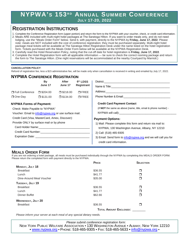#### **NYPWA'S 153 R D ANNUAL SUMMER CONFERENCE JULY 17-20, 2022**

#### **REGISTRATION INSTRUCTIONS**

- 1. Complete the Conference Registration form (upper portion) and return the form to the NYPWA with your voucher, check, or credit card information.
- 2. Meals ARE included with multi-night hotel packages at The Saratoga Hilton. If you want to order meals only, and do not need lodging, use the "Meals Order Form" below. Send it, with payment, directly to the NYPWA by **Friday, June 17, 2022**. Please note: meals are NOT included with the cost of conference registration; they must be purchased separately. Multi-night hotel package meal tickets will be available at The Saratoga Hilton Registration Desk under the name listed on the hotel registration form. Tickets purchased with the Meals Order Form below will be available at the NYPWA Registration Desk.
- 3. Carefully read the Hotel Reservation Policy, noting that the cut-off date for hotel registration is **Friday, June 17, 2022**.
- 4. Complete the Hotel Registration form with all applicable information be sure to check the correct rooming package and return the form to The Saratoga Hilton. (One night reservations will be accommodated at the nearby Courtyard by Marriott.)

#### **CANCELLATION POLICY**:

Refund of registration fee, less a \$15 administrative fee, will be made only when cancellation is received in writing and emailed by July 17, 2022.

#### **NYPWA CONFERENCE REGISTRATION**

|                                                       | <b>By</b>       |                    | 6th LDSS                           | District:                                                                                                                                                                                                                             |  |
|-------------------------------------------------------|-----------------|--------------------|------------------------------------|---------------------------------------------------------------------------------------------------------------------------------------------------------------------------------------------------------------------------------------|--|
|                                                       | June 17         | June 17            | Registrant                         | Name & Title: Name & Title:                                                                                                                                                                                                           |  |
| □ Full Conference                                     | $\Box$ \$204.00 | $\square$ \$218.00 | $\Box$ FREE                        | Address: the contract of the contract of the contract of the contract of the contract of the contract of the contract of the contract of the contract of the contract of the contract of the contract of the contract of the c        |  |
| $\Box$ One-Day                                        | $\Box$ \$131.00 | $\square$ \$134.00 | $\Box$ FREE                        | Phone Number & Email: The contract of the contract of the contract of the contract of the contract of the contract of the contract of the contract of the contract of the contract of the contract of the contract of the cont        |  |
| <b>NYPWA Forms of Payment:</b>                        |                 |                    | <b>Credit Card Payment Contact</b> |                                                                                                                                                                                                                                       |  |
| Check: Make Payable to "NYPWA"                        |                 |                    |                                    | (if NOT the same as above [name, title, email & phone number] -                                                                                                                                                                       |  |
| Voucher: Email to info@nypwa.org or use surface mail. |                 |                    |                                    |                                                                                                                                                                                                                                       |  |
| Credit Card (Visa, MasterCard, Amex, Discover):       |                 |                    |                                    | <b>Payment Options:</b>                                                                                                                                                                                                               |  |
| Provide ONLY by surface mail or by phone              |                 |                    |                                    | 1) Mail: Please complete this form and return via mail to:<br>NYPWA, 130 Washington Avenue, Albany, NY 12210<br>2) Call: (518) 465-9305<br>3) Email: Send form to info@nypwa.org and we will call you for<br>credit card information. |  |
| Card Holder Name: Care and Holder Name:               |                 |                    |                                    |                                                                                                                                                                                                                                       |  |
| Credit Card Number:<br><u> Credit Card Number:</u>    |                 |                    |                                    |                                                                                                                                                                                                                                       |  |
| Expiration Date: Expiration Date:                     |                 |                    |                                    |                                                                                                                                                                                                                                       |  |
|                                                       |                 |                    |                                    |                                                                                                                                                                                                                                       |  |

#### **MEALS ORDER FORM**

If you are not ordering a hotel package, all meals must be purchased individually through the NYPWA by completing this MEALS ORDER FORM. Please return the completed form with payment directly to the NYPWA.

|                           | PRICE                         | <b>SELECTION</b> |  |  |
|---------------------------|-------------------------------|------------------|--|--|
| MONDAY, JULY 18           |                               |                  |  |  |
| <b>Breakfast</b>          | \$36.55                       | ⊓                |  |  |
| Lunch                     | \$41.77                       | ⊓                |  |  |
| Dine-Around Meal Voucher  | \$35.00                       | ⊓                |  |  |
| TUESDAY, JULY 19          |                               |                  |  |  |
| <b>Breakfast</b>          | \$36.55                       | ⊓                |  |  |
| Lunch                     | \$41.77                       | ⊓                |  |  |
| Dinner Buffet             | \$62.66                       | ⊓                |  |  |
| <b>WEDNESDAY, JULY 20</b> |                               |                  |  |  |
| <b>Breakfast</b>          | \$36.55                       | ⊓                |  |  |
|                           | <b>TOTAL AMOUNT ENCLOSED:</b> |                  |  |  |

*Please inform your server at each meal of any special dietary needs.*

*Please submit conference registration form:*  NEW YORK PUBLIC WELFARE ASSOCIATION • 130 WASHINGTON AVENUE • ALBANY, NEW YORK 12210 • www.nypwa.org • PHONE: 518-465-9305 • FAX: 518-465-5633 • info@nypwa.org •